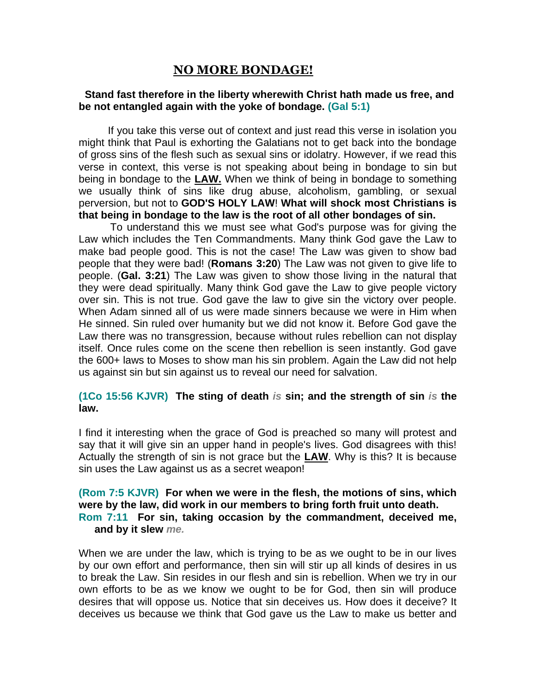# **NO MORE BONDAGE!**

#### **Stand fast therefore in the liberty wherewith Christ hath made us free, and be not entangled again with the yoke of bondage. (Gal 5:1)**

 If you take this verse out of context and just read this verse in isolation you might think that Paul is exhorting the Galatians not to get back into the bondage of gross sins of the flesh such as sexual sins or idolatry. However, if we read this verse in context, this verse is not speaking about being in bondage to sin but being in bondage to the **LAW.** When we think of being in bondage to something we usually think of sins like drug abuse, alcoholism, gambling, or sexual perversion, but not to **GOD'S HOLY LAW**! **What will shock most Christians is that being in bondage to the law is the root of all other bondages of sin.** 

To understand this we must see what God's purpose was for giving the Law which includes the Ten Commandments. Many think God gave the Law to make bad people good. This is not the case! The Law was given to show bad people that they were bad! (**Romans 3:20**) The Law was not given to give life to people. (**Gal. 3:21**) The Law was given to show those living in the natural that they were dead spiritually. Many think God gave the Law to give people victory over sin. This is not true. God gave the law to give sin the victory over people. When Adam sinned all of us were made sinners because we were in Him when He sinned. Sin ruled over humanity but we did not know it. Before God gave the Law there was no transgression, because without rules rebellion can not display itself. Once rules come on the scene then rebellion is seen instantly. God gave the 600+ laws to Moses to show man his sin problem. Again the Law did not help us against sin but sin against us to reveal our need for salvation.

### **(1Co 15:56 KJVR) The sting of death** *is* **sin; and the strength of sin** *is* **the law.**

I find it interesting when the grace of God is preached so many will protest and say that it will give sin an upper hand in people's lives. God disagrees with this! Actually the strength of sin is not grace but the **LAW**. Why is this? It is because sin uses the Law against us as a secret weapon!

#### **(Rom 7:5 KJVR) For when we were in the flesh, the motions of sins, which were by the law, did work in our members to bring forth fruit unto death. Rom 7:11 For sin, taking occasion by the commandment, deceived me, and by it slew** *me.*

When we are under the law, which is trying to be as we ought to be in our lives by our own effort and performance, then sin will stir up all kinds of desires in us to break the Law. Sin resides in our flesh and sin is rebellion. When we try in our own efforts to be as we know we ought to be for God, then sin will produce desires that will oppose us. Notice that sin deceives us. How does it deceive? It deceives us because we think that God gave us the Law to make us better and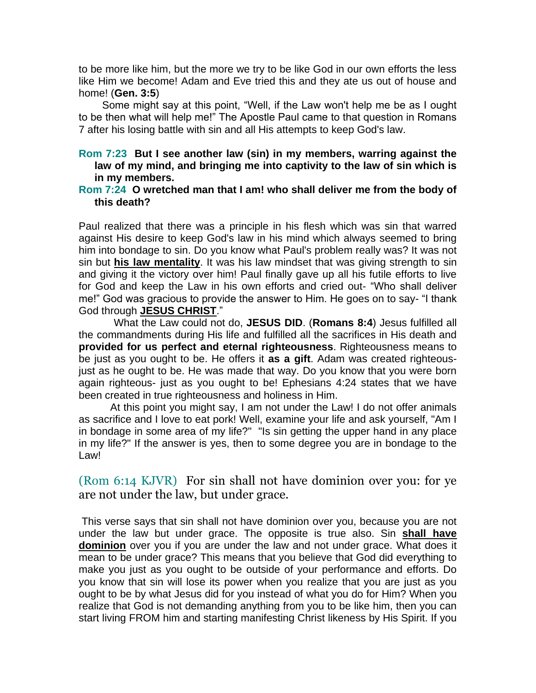to be more like him, but the more we try to be like God in our own efforts the less like Him we become! Adam and Eve tried this and they ate us out of house and home! (**Gen. 3:5**)

 Some might say at this point, "Well, if the Law won't help me be as I ought to be then what will help me!" The Apostle Paul came to that question in Romans 7 after his losing battle with sin and all His attempts to keep God's law.

## **Rom 7:23 But I see another law (sin) in my members, warring against the law of my mind, and bringing me into captivity to the law of sin which is in my members.**

#### **Rom 7:24 O wretched man that I am! who shall deliver me from the body of this death?**

Paul realized that there was a principle in his flesh which was sin that warred against His desire to keep God's law in his mind which always seemed to bring him into bondage to sin. Do you know what Paul's problem really was? It was not sin but **his law mentality**. It was his law mindset that was giving strength to sin and giving it the victory over him! Paul finally gave up all his futile efforts to live for God and keep the Law in his own efforts and cried out- "Who shall deliver me!" God was gracious to provide the answer to Him. He goes on to say- "I thank God through **JESUS CHRIST**."

 What the Law could not do, **JESUS DID**. (**Romans 8:4**) Jesus fulfilled all the commandments during His life and fulfilled all the sacrifices in His death and **provided for us perfect and eternal righteousness**. Righteousness means to be just as you ought to be. He offers it **as a gift**. Adam was created righteousjust as he ought to be. He was made that way. Do you know that you were born again righteous- just as you ought to be! Ephesians 4:24 states that we have been created in true righteousness and holiness in Him.

At this point you might say, I am not under the Law! I do not offer animals as sacrifice and I love to eat pork! Well, examine your life and ask yourself, "Am I in bondage in some area of my life?" "Is sin getting the upper hand in any place in my life?" If the answer is yes, then to some degree you are in bondage to the Law!

(Rom 6:14 KJVR) For sin shall not have dominion over you: for ye are not under the law, but under grace.

This verse says that sin shall not have dominion over you, because you are not under the law but under grace. The opposite is true also. Sin **shall have dominion** over you if you are under the law and not under grace. What does it mean to be under grace? This means that you believe that God did everything to make you just as you ought to be outside of your performance and efforts. Do you know that sin will lose its power when you realize that you are just as you ought to be by what Jesus did for you instead of what you do for Him? When you realize that God is not demanding anything from you to be like him, then you can start living FROM him and starting manifesting Christ likeness by His Spirit. If you